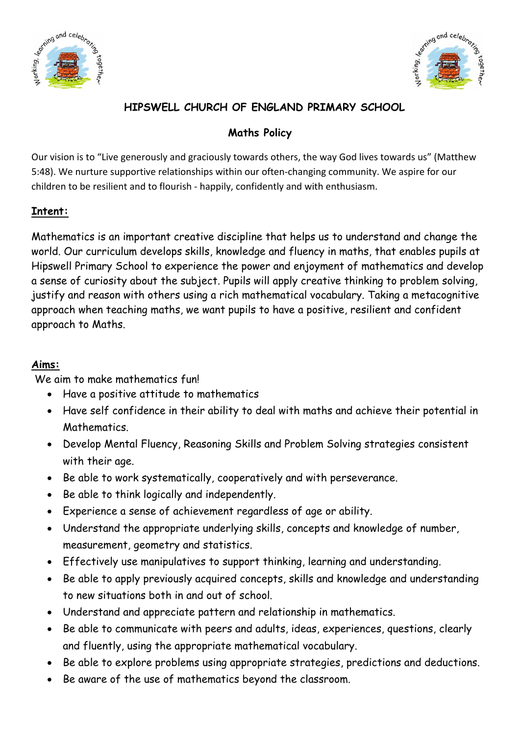



# **HIPSWELL CHURCH OF ENGLAND PRIMARY SCHOOL**

## **Maths Policy**

Our vision is to "Live generously and graciously towards others, the way God lives towards us" (Matthew 5:48). We nurture supportive relationships within our often-changing community. We aspire for our children to be resilient and to flourish - happily, confidently and with enthusiasm.

### **Intent:**

Mathematics is an important creative discipline that helps us to understand and change the world. Our curriculum develops skills, knowledge and fluency in maths, that enables pupils at Hipswell Primary School to experience the power and enjoyment of mathematics and develop a sense of curiosity about the subject. Pupils will apply creative thinking to problem solving, justify and reason with others using a rich mathematical vocabulary. Taking a metacognitive approach when teaching maths, we want pupils to have a positive, resilient and confident approach to Maths.

#### **Aims:**

We aim to make mathematics fun!

- Have a positive attitude to mathematics
- Have self confidence in their ability to deal with maths and achieve their potential in Mathematics.
- Develop Mental Fluency, Reasoning Skills and Problem Solving strategies consistent with their age.
- Be able to work systematically, cooperatively and with perseverance.
- Be able to think logically and independently.
- Experience a sense of achievement regardless of age or ability.
- Understand the appropriate underlying skills, concepts and knowledge of number, measurement, geometry and statistics.
- Effectively use manipulatives to support thinking, learning and understanding.
- Be able to apply previously acquired concepts, skills and knowledge and understanding to new situations both in and out of school.
- Understand and appreciate pattern and relationship in mathematics.
- Be able to communicate with peers and adults, ideas, experiences, questions, clearly and fluently, using the appropriate mathematical vocabulary.
- Be able to explore problems using appropriate strategies, predictions and deductions.
- Be aware of the use of mathematics beyond the classroom.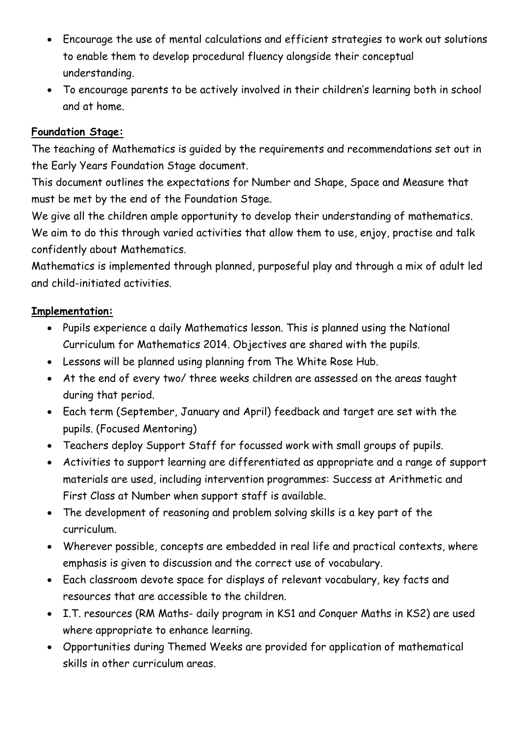- Encourage the use of mental calculations and efficient strategies to work out solutions to enable them to develop procedural fluency alongside their conceptual understanding.
- To encourage parents to be actively involved in their children's learning both in school and at home.

## **Foundation Stage:**

The teaching of Mathematics is guided by the requirements and recommendations set out in the Early Years Foundation Stage document.

This document outlines the expectations for Number and Shape, Space and Measure that must be met by the end of the Foundation Stage.

We give all the children ample opportunity to develop their understanding of mathematics. We aim to do this through varied activities that allow them to use, enjoy, practise and talk confidently about Mathematics.

Mathematics is implemented through planned, purposeful play and through a mix of adult led and child-initiated activities.

# **Implementation:**

- Pupils experience a daily Mathematics lesson. This is planned using the National Curriculum for Mathematics 2014. Objectives are shared with the pupils.
- Lessons will be planned using planning from The White Rose Hub.
- At the end of every two/ three weeks children are assessed on the areas taught during that period.
- Each term (September, January and April) feedback and target are set with the pupils. (Focused Mentoring)
- Teachers deploy Support Staff for focussed work with small groups of pupils.
- Activities to support learning are differentiated as appropriate and a range of support materials are used, including intervention programmes: Success at Arithmetic and First Class at Number when support staff is available.
- The development of reasoning and problem solving skills is a key part of the curriculum.
- Wherever possible, concepts are embedded in real life and practical contexts, where emphasis is given to discussion and the correct use of vocabulary.
- Each classroom devote space for displays of relevant vocabulary, key facts and resources that are accessible to the children.
- I.T. resources (RM Maths- daily program in KS1 and Conquer Maths in KS2) are used where appropriate to enhance learning.
- Opportunities during Themed Weeks are provided for application of mathematical skills in other curriculum areas.